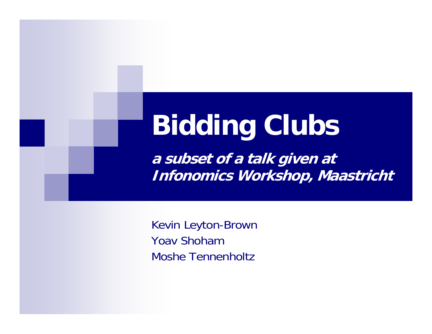# **Bidding Clubs**

**a subset of a talk given at Infonomics Workshop, Maastricht**

Kevin Leyton-Brown Yoav ShohamMoshe Tennenholtz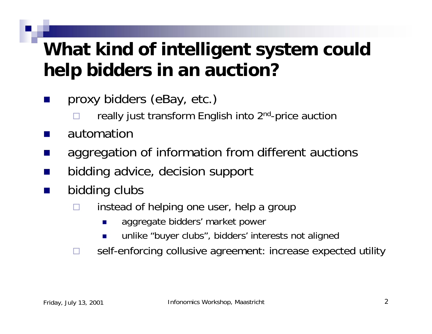#### **What kind of intelligent system could help bidders in an auction?**

- p. proxy bidders (eBay, etc.)
	- $\Box$ really just transform English into 2<sup>nd</sup>-price auction
- $\mathbb{R}^2$ automation
- $\mathbb{R}^2$ aggregation of information from different auctions
- ×. bidding advice, decision support
- $\mathbb{R}^2$  bidding clubs
	- $\Box$  instead of helping one user, help a group
		- $\mathcal{L}_{\mathcal{A}}$ aggregate bidders' market power
		- F unlike "buyer clubs", bidders' interests not aligned
	- П self-enforcing collusive agreement: increase expected utility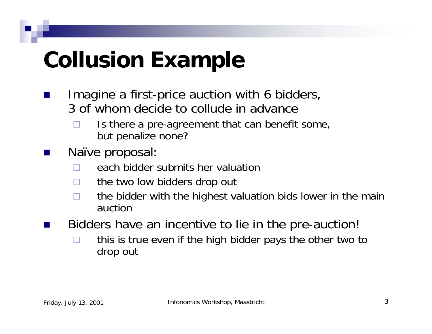# **Collusion Example**

- $\mathbb{R}^2$  Imagine a first-price auction with 6 bidders, 3 of whom decide to collude in advance
	- $\Box$  Is there a pre-agreement that can benefit some, but penalize none?
- $\mathbb{R}^2$  Naïve proposal:
	- $\Box$ each bidder submits her valuation
	- □ the two low bidders drop out
	- $\Box$  the bidder with the highest valuation bids lower in the main auction
	- Bidders have an incentive to lie in the pre-auction!
		- $\Box$  this is true even if the high bidder pays the other two to drop out

p.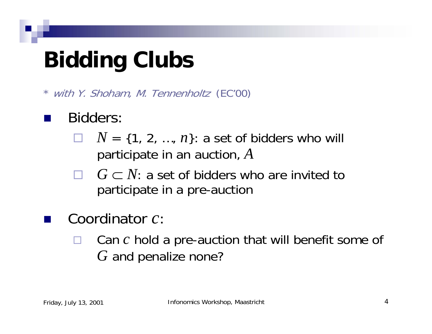# **Bidding Clubs**

with Y. Shoham, M. Tennenholtz (EC'00)

- **Service Service**  Bidders:
	- $\Box$  $N = \{1, 2, ..., n\}$ : a set of bidders who will participate in an auction, *A*
	- $\Box$  $G \subset N$ : a set of bidders who are invited to participate in a pre-auction
	- Coordinator *c*:
		- $\Box$  Can *<sup>c</sup>* hold a pre-auction that will benefit some of *G* and penalize none?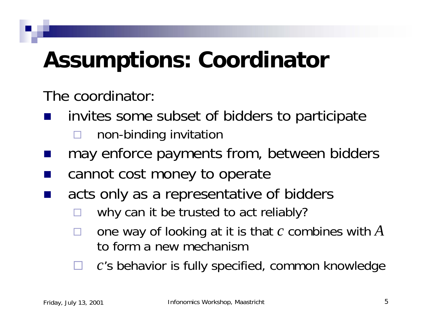# **Assumptions: Coordinator**

The coordinator:

- invites some subset of bidders to participate  $\Box$ non-binding invitation
- may enforce payments from, between bidders
- cannot cost money to operate
- **Service Service**  acts only as a representative of bidders
	- $\Box$ why can it be trusted to act reliably?
	- $\Box$  one way of looking at it is that *<sup>c</sup>* combines with *A* to form a new mechanism
	- $\Box$ *<sup>c</sup>*'s behavior is fully specified, common knowledge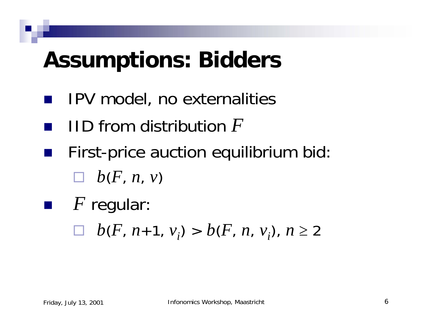## **Assumptions: Bidders**

- IPV model, no externalities
- $\mathcal{L}_{\mathcal{A}}$ IID from distribution *F*
- First-price auction equilibrium bid:  $\Box$  *b*(*F*, *n*, *v*)
- *F* regular: *b*(*F*, *<sup>n</sup>*+1, *vi*) > *b*(*F*, *n*, *vi*), *<sup>n</sup>* <sup>≥</sup> <sup>2</sup>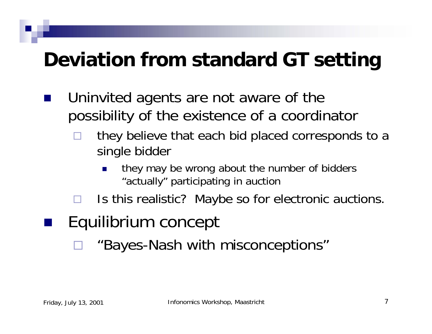#### **Deviation from standard GT setting**

- Uninvited agents are not aware of the possibility of the existence of a coordinator
	- $\Box$  they believe that each bid placed corresponds to a single bidder
		- P. they may be wrong about the number of bidders "actually" participating in auction
	- $\Box$ Is this realistic? Maybe so for electronic auctions.

#### Equilibrium concept

 $\Box$ "Bayes-Nash with misconceptions"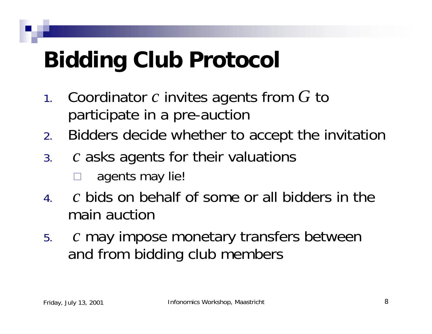# **Bidding Club Protocol**

- 1. Coordinator *c* invites agents from *G* to participate in a pre-auction
- 2.Bidders decide whether to accept the invitation
- 3. *c* asks agents for their valuations
	- $\Box$ agents may lie!
- 4. *c* bids on behalf of some or all bidders in the main auction
- 5. *c* may impose monetary transfers between and from bidding club members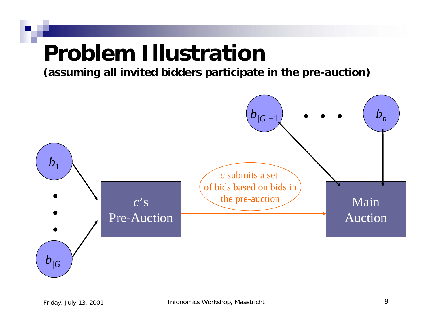### **Problem Illustration**

**(assuming all invited bidders participate in the pre-auction)**

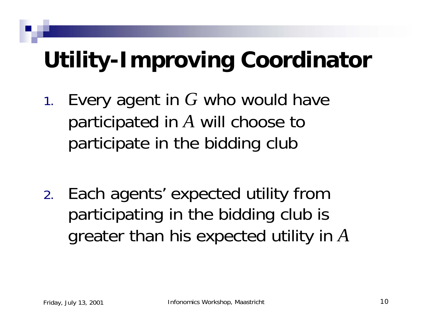# **Utility-Improving Coordinator**

1. Every agent in *G* who would have participated in *A* will choose to participate in the bidding club

2. Each agents' expected utility from participating in the bidding club is greater than his expected utility in *A*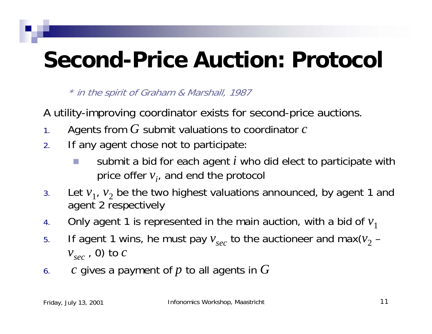## **Second-Price Auction: Protocol**

\* in the spirit of Graham & Marshall, 1987

A utility-improving coordinator exists for second-price auctions.

- 1.Agents from *G* submit valuations to coordinator *<sup>c</sup>*
- 2. If any agent chose not to participate:
	- $\sim$  submit a bid for each agent *i* who did elect to participate with price offer  $v_i$ , and end the protocol
- 3.Let  $v_1$ ,  $v_2$  be the two highest valuations announced, by agent 1 and agent 2 respectively
- 4.Only agent 1 is represented in the main auction, with a bid of  $v_1$
- 5.If agent 1 wins, he must pay  $v_{sec}$  to the auctioneer and max( $v_{2}$  – *vsec* , 0) to *<sup>c</sup>*
- 6.*c* gives a payment of *p* to all agents in *G*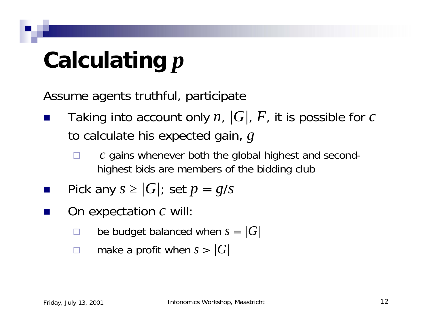# **Calculating** *p*

Assume agents truthful, participate

- $\mathbb{R}^2$  Taking into account only *<sup>n</sup>*, *|G|*, *F*, it is possible for *<sup>c</sup>* to calculate his expected gain, *g*
	- □ *<sup>c</sup>* gains whenever both the global highest and secondhighest bids are members of the bidding club
- p. Pick any  $s \geq |G|$ ; set  $p = g/s$
- $\mathbb{R}^2$  On expectation *<sup>c</sup>* will:
	- □ be budget balanced when *<sup>s</sup>*= *|G|*
	- П make a profit when *<sup>s</sup>*> *|G|*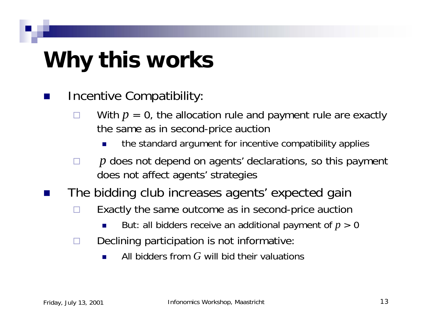# **Why this works**

- p. Incentive Compatibility:
	- $\Box$ With  $p = 0$ , the allocation rule and payment rule are exactly the same as in second-price auction
		- П the standard argument for incentive compatibility applies
	- □ *p* does not depend on agents' declarations, so this payment does not affect agents' strategies
	- The bidding club increases agents' expected gain
		- $\Box$  Exactly the same outcome as in second-price auction
			- П But: all bidders receive an additional payment of *p* > 0
		- П Declining participation is not informative:
			- $\mathcal{L}_{\mathcal{A}}$ All bidders from *G* will bid their valuations

 $\mathbb{R}^2$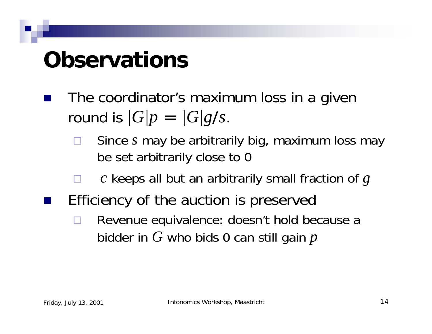## **Observations**

- The coordinator's maximum loss in a given round is  $\sqrt{G/p} = \sqrt{G/g/s}$ .
	- $\Box$  Since *<sup>s</sup>* may be arbitrarily big, maximum loss may be set arbitrarily close to 0
	- $\Box$ *<sup>c</sup>* keeps all but an arbitrarily small fraction of *g*
- Efficiency of the auction is preserved
	- $\Box$  Revenue equivalence: doesn't hold because a bidder in *G* who bids 0 can still gain *p*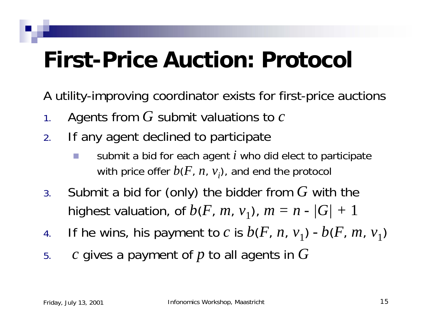## **First-Price Auction: Protocol**

A utility-improving coordinator exists for first-price auctions

- 1.Agents from *G* submit valuations to *<sup>c</sup>*
- 2. If any agent declined to participate
	- $\sim$  submit a bid for each agent *i* who did elect to participate with price offer  $b(F, n, v_i)$ , and end the protocol
- 3. Submit a bid for (only) the bidder from *G* with the highest valuation, of  $b(F, m, v_1)$ ,  $m = n - |G| + 1$
- 4.If he wins, his payment to *c* is  $b(F, n, v_1)$  -  $b(F, m, v_1)$
- 5.*c* gives a payment of *p* to all agents in *G*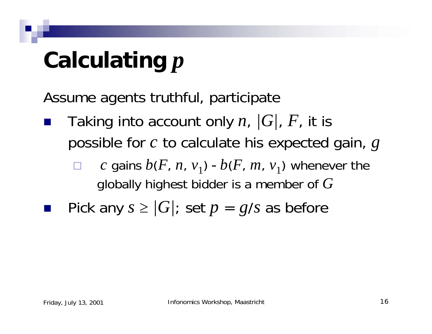# **Calculating** *p*

Assume agents truthful, participate

- Taking into account only *<sup>n</sup>*, *|G|*, *F*, it is possible for *<sup>c</sup>* to calculate his expected gain, *g*
	- $\Box$ *c* gains  $b(F, n, v_1)$  -  $b(F, m, v_1)$  whenever the globally highest bidder is a member of *G*
	- Pick any  $s \ge |G|$ ; set  $p = g/s$  as before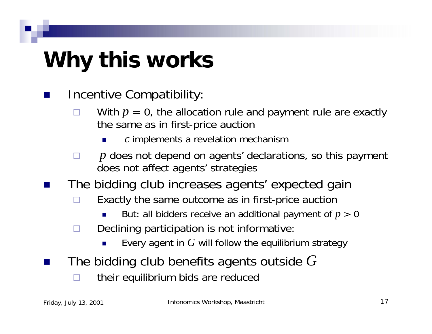# **Why this works**

 $\mathbb{R}^2$ Incentive Compatibility:

H

- □ With  $p = 0$ , the allocation rule and payment rule are exactly the same as in first-price auction
	- *<sup>c</sup>*implements a revelation mechanism
- $\Box$  *p* does not depend on agents' declarations, so this payment does not affect agents' strategies
- The bidding club increases agents' expected gain
	- □ Exactly the same outcome as in first-price auction
		- H But: all bidders receive an additional payment of *p* > 0
	- п Declining participation is not informative:
		- П Every agent in *G* will follow the equilibrium strategy
- The bidding club benefits agents outside *G*
	- □ their equilibrium bids are reduced

 $\mathbb{R}^2$ 

 $\mathbb{R}^2$